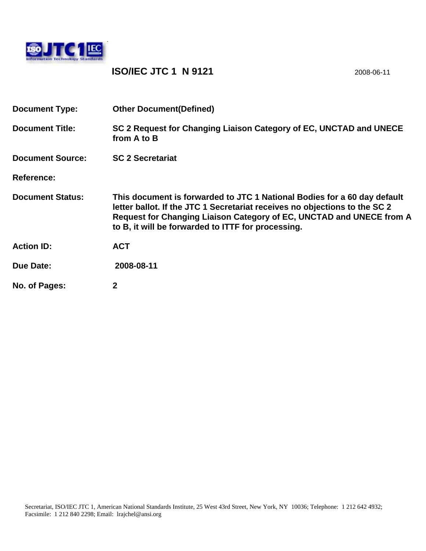

## **ISO/IEC JTC 1 N 9121** 2008-06-11

| <b>Document Type:</b>   | <b>Other Document (Defined)</b>                                                                                                                                                                                                                                                      |
|-------------------------|--------------------------------------------------------------------------------------------------------------------------------------------------------------------------------------------------------------------------------------------------------------------------------------|
| <b>Document Title:</b>  | SC 2 Request for Changing Liaison Category of EC, UNCTAD and UNECE<br>from A to B                                                                                                                                                                                                    |
| <b>Document Source:</b> | <b>SC 2 Secretariat</b>                                                                                                                                                                                                                                                              |
| <b>Reference:</b>       |                                                                                                                                                                                                                                                                                      |
| <b>Document Status:</b> | This document is forwarded to JTC 1 National Bodies for a 60 day default<br>letter ballot. If the JTC 1 Secretariat receives no objections to the SC 2<br>Request for Changing Liaison Category of EC, UNCTAD and UNECE from A<br>to B, it will be forwarded to ITTF for processing. |
| <b>Action ID:</b>       | <b>ACT</b>                                                                                                                                                                                                                                                                           |
| Due Date:               | 2008-08-11                                                                                                                                                                                                                                                                           |
| No. of Pages:           | 2                                                                                                                                                                                                                                                                                    |